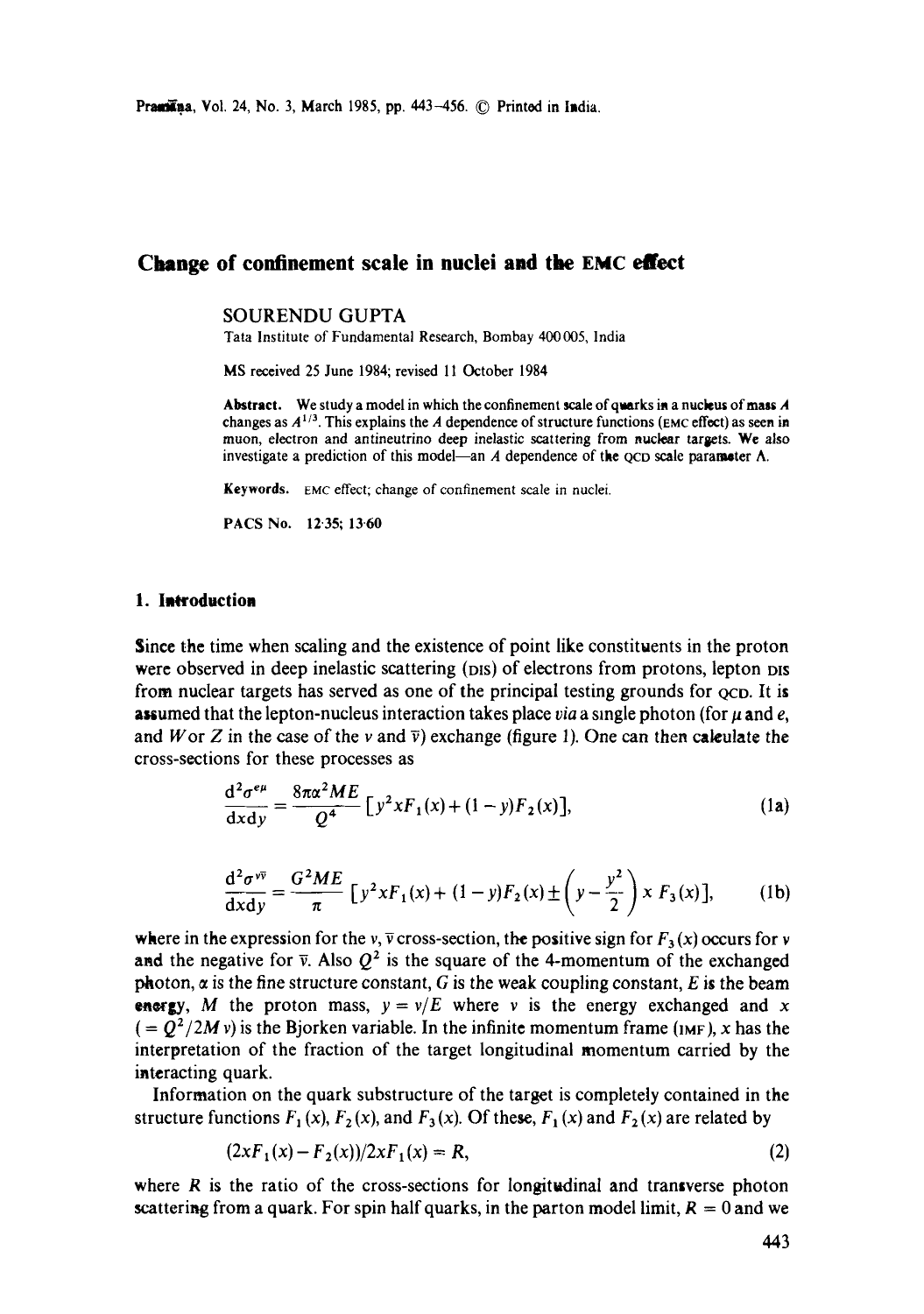# **Change of confinement scale in nuclei and the EMC effect**

### SOURENDU GUPTA

Tata Institute of Fundamental Research, Bombay 400005, India

MS received 25 June 1984; revised 11 October 1984

Abstract. We study a model in which the confinement scale of quarks in a nucleus of mass A changes as *A 1/3.* This explains the A dependence of structure functions (EMC effect) as seen in muon, electron and antineutrino deep inelastic scattering from nuclear targets. We also investigate a prediction of this model—an A dependence of the QCD scale parameter  $\Lambda$ .

Keywords. EMC effect; change of confinement scale in nuclei.

PACS No. 12.35; 13.60

#### **1.** Introduction

Since the time when scaling and the existence of point like constituents in the proton were observed in deep inelastic scattering (DIS) of electrons from protons, lepton DIS from nuclear targets has served as one of the principal testing grounds for  $\alpha$  Co. It is **assumed that the lepton-nucleus interaction takes place** *via* **a single photon (for**  $\mu$  **and e,** and W or Z in the case of the v and  $\bar{v}$ ) exchange (figure 1). One can then calculate the cross-sections for these processes as

$$
\frac{\mathrm{d}^2 \sigma^{e\mu}}{\mathrm{d}x \mathrm{d}y} = \frac{8\pi \alpha^2 ME}{Q^4} \left[ y^2 x F_1(x) + (1-y) F_2(x) \right],\tag{1a}
$$

$$
\frac{d^2\sigma^{v\bar{v}}}{dx dy} = \frac{G^2 M E}{\pi} \left[ y^2 x F_1(x) + (1 - y) F_2(x) \pm \left( y - \frac{y^2}{2} \right) x F_3(x) \right],
$$
 (1b)

where in the expression for the v,  $\overline{v}$  cross-section, the positive sign for  $F_3(x)$  occurs for v and the negative for  $\bar{v}$ . Also  $Q^2$  is the square of the 4-momentum of the exchanged photon,  $\alpha$  is the fine structure constant, G is the weak coupling constant, E is the beam **energy,** M the proton mass,  $y = v/E$  where v is the energy exchanged and x  $($  =  $Q^2/2M v)$  is the Bjorken variable. In the infinite momentum frame ( $1MF$ ), x has the interpretation of the fraction of the target longitudinal momentum carried by the interacting quark.

Information on the quark substructure of the target is completely contained in the structure functions  $F_1(x)$ ,  $F_2(x)$ , and  $F_3(x)$ . Of these,  $F_1(x)$  and  $F_2(x)$  are related by

$$
(2xF1(x) - F2(x))/2xF1(x) = R,
$$
\n(2)

where  $R$  is the ratio of the cross-sections for longitudinal and transverse photon scattering from a quark. For spin half quarks, in the parton model limit,  $R = 0$  and we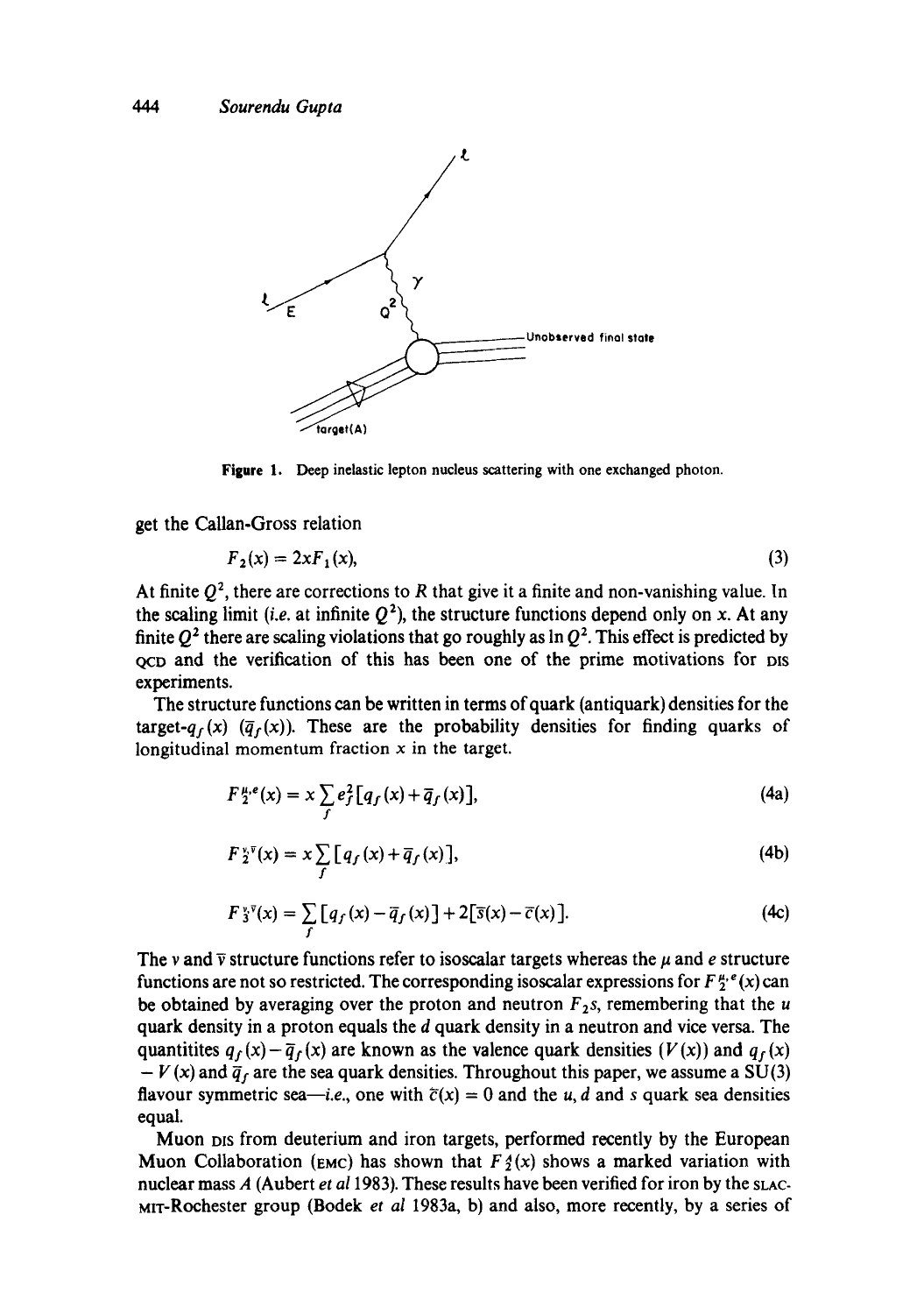

**Figure** 1. Deep inelastic lepton nucleus scattering with one exchanged photon.

get the Callan-Gross relation

$$
F_2(x) = 2xF_1(x),\tag{3}
$$

At finite  $Q^2$ , there are corrections to R that give it a finite and non-vanishing value. In the scaling limit *(i.e.* at infinite  $Q^2$ ), the structure functions depend only on x. At any finite  $Q^2$  there are scaling violations that go roughly as ln  $Q^2$ . This effect is predicted by QcD and the verification of this has been one of the prime motivations for ms experiments.

The structure functions can be written in terms of quark (antiquark) densities for the target- $q_f(x)$  ( $\overline{q}_f(x)$ ). These are the probability densities for finding quarks of longitudinal momentum fraction  $x$  in the target.

$$
F_{2}^{\mu,e}(x) = x \sum_{f} e_f^2 [q_f(x) + \overline{q}_f(x)], \qquad (4a)
$$

$$
F\,2^{\nu\bar{\nu}}(x) = x \sum_{f} \big[ q_f(x) + \overline{q}_f(x) \big],\tag{4b}
$$

$$
F\ddot{\mathbf{x}}^{\mathbf{v}}(\mathbf{x}) = \sum_{f} \big[ q_f(\mathbf{x}) - \overline{q}_f(\mathbf{x}) \big] + 2 \big[ \overline{\mathbf{s}}(\mathbf{x}) - \overline{c}(\mathbf{x}) \big]. \tag{4c}
$$

The v and  $\bar{v}$  structure functions refer to isoscalar targets whereas the  $\mu$  and e structure functions are not so restricted. The corresponding isoscalar expressions for  $F_2^{u,e}(x)$  can be obtained by averaging over the proton and neutron  $F_2$ s, remembering that the u quark density in a proton equals the d quark density in a neutron and vice versa. The quantitites  $q_f(x)-\overline{q}_f(x)$  are known as the valence quark densities  $(V(x))$  and  $q_f(x)$  $-V(x)$  and  $\bar{q}_f$  are the sea quark densities. Throughout this paper, we assume a SU(3) flavour symmetric sea-*i.e.*, one with  $\bar{c}(x) = 0$  and the u, d and s quark sea densities equal.

Muon Dis from deuterium and iron targets, performed recently by the European Muon Collaboration (EMC) has shown that  $F \phi(x)$  shows a marked variation with nuclear mass A (Aubert *et al* 1983). These results have been verified for iron by the sLAC-MiT-Rochester group (Bodek *et al* 1983a, b) and also, more recently, by a series of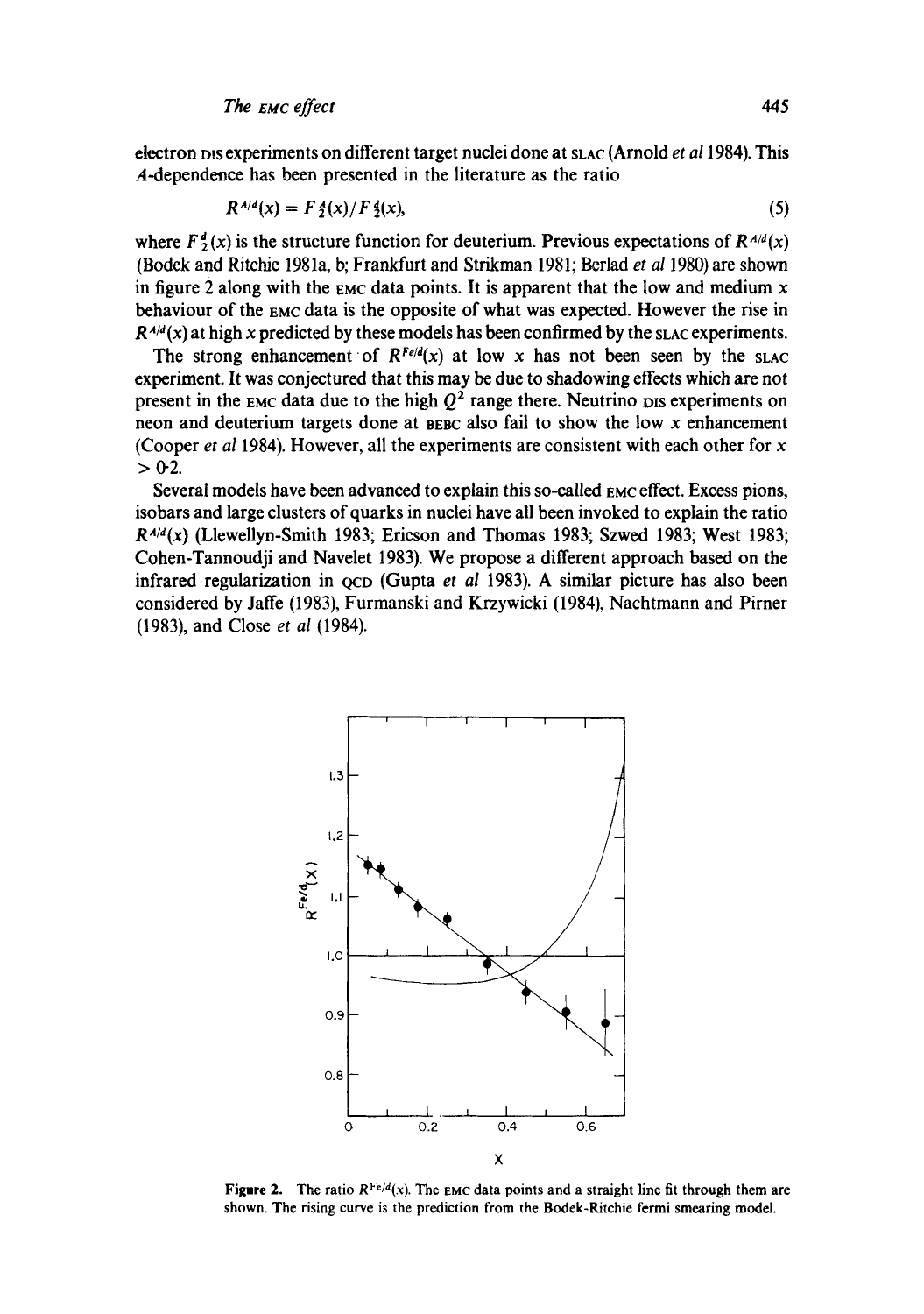electron pis experiments on different target nuclei done at sLAC (Arnold *et al* 1984). This A-dependence has been presented in the literature as the ratio

$$
R^{A/d}(x) = F \, \frac{4}{2}(x) / F \, \frac{4}{2}(x),\tag{5}
$$

where  $F^d(x)$  is the structure function for deuterium. Previous expectations of  $R^{A/d}(x)$ (Bodek and Ritchie 1981a, b; Frankfurt and Strikman 1981; Berlad et al 1980) are shown in figure 2 along with the EMC data points. It is apparent that the low and medium  $x$ behaviour of the EMC data is the opposite of what was expected. However the rise in  $R^{A/d}(x)$  at high x predicted by these models has been confirmed by the slac experiments.

The strong enhancement of  $R^{Fe/d}(x)$  at low x has not been seen by the slac experiment. It was conjectured that this may be due to shadowing effects which are not present in the EMC data due to the high  $Q^2$  range there. Neutrino pis experiments on neon and deuterium targets done at BEBC also fail to show the low x enhancement (Cooper et al 1984). However, all the experiments are consistent with each other for  $x$  $> 0.2$ .

Several models have been advanced to explain this so-called EMC effect. Excess pions, isobars and large clusters of quarks in nuclei have all been invoked to explain the ratio  $R^{A/d}(x)$  (Llewellyn-Smith 1983; Ericson and Thomas 1983; Szwed 1983; West 1983; Cohen-Tannoudii and Navelet 1983). We propose a different approach based on the infrared regularization in ocp (Gupta et al 1983). A similar picture has also been considered by Jaffe (1983), Furmanski and Krzywicki (1984), Nachtmann and Pirner (1983), and Close et al (1984).



**Figure 2.** The ratio  $R^{Fe/d}(x)$ . The EMC data points and a straight line fit through them are shown. The rising curve is the prediction from the Bodek-Ritchie fermi smearing model.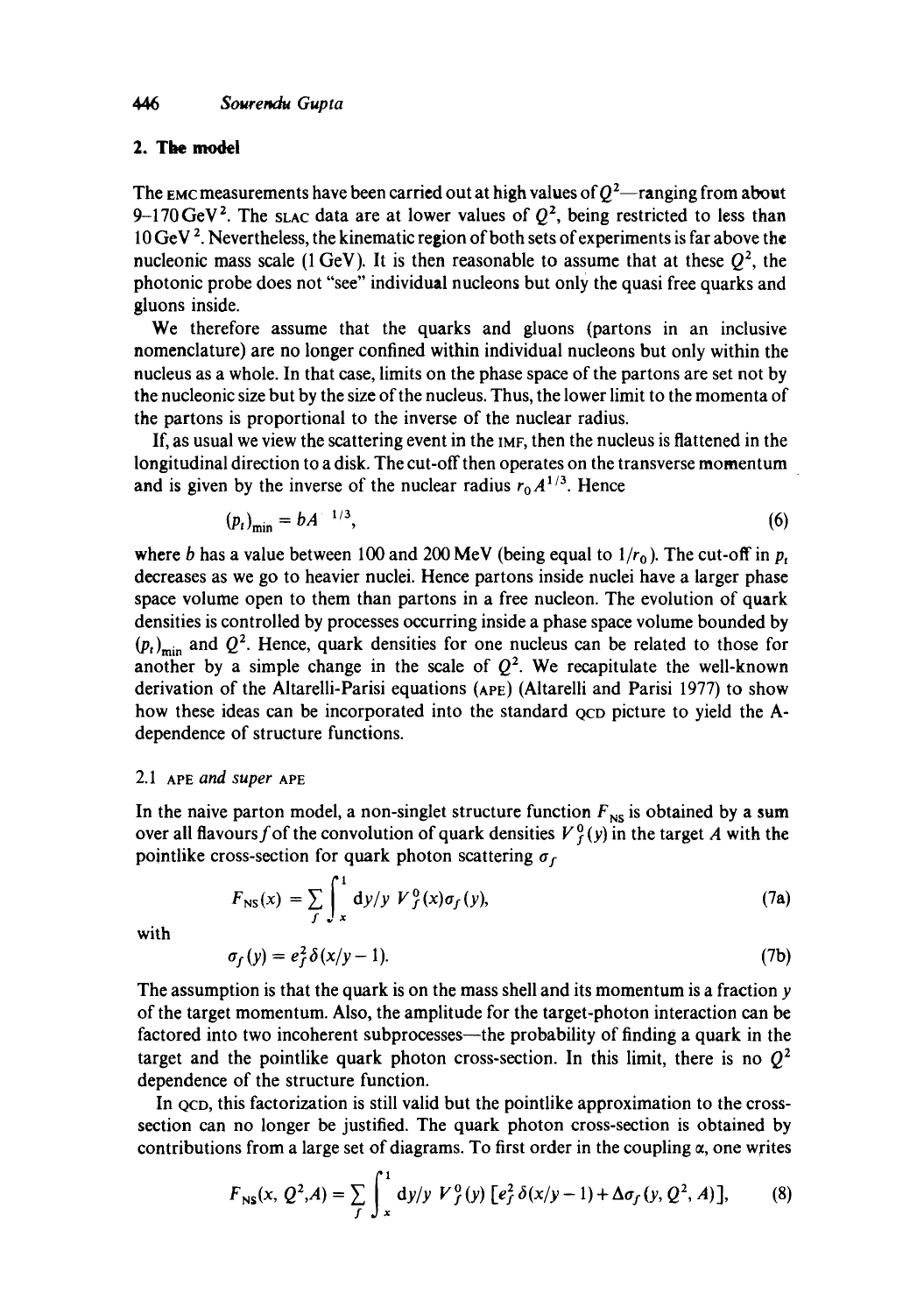## **2.** The model

The EMC measurements have been carried out at high values of  $Q^2$ —ranging from about 9-170 GeV<sup>2</sup>. The slac data are at lower values of  $Q^2$ , being restricted to less than 10 GeV<sup>2</sup>. Nevertheless, the kinematic region of both sets of experiments is far above the nucleonic mass scale (1 GeV). It is then reasonable to assume that at these  $Q^2$ , the photonic probe does not "see" individual nucleons but only the quasi free quarks and gluons inside.

We therefore assume that the quarks and gluons (partons in an inclusive nomenclature) are no longer confined within individual nucleons but only within the nucleus as a whole. In that case, limits on the phase space of the partons are set not by the nucleonic size but by the size of the nucleus. Thus, the lower limit to the momenta of the partons is proportional to the inverse of the nuclear radius.

If, as usual we view the scattering event in the IMF, then the nucleus is flattened in the longitudinal direction to a disk. The cut-off then operates on the transverse momentum and is given by the inverse of the nuclear radius  $r_0 A^{1/3}$ . Hence

$$
(p_t)_{\min} = b A^{-1/3},\tag{6}
$$

where b has a value between 100 and 200 MeV (being equal to  $1/r_0$ ). The cut-off in p, decreases as we go to heavier nuclei. Hence partons inside nuclei have a larger phase space volume open to them than partons in a free nucleon. The evolution of quark densities is controlled by processes occurring inside a phase space volume bounded by  $(p_t)_{\text{min}}$  and  $Q^2$ . Hence, quark densities for one nucleus can be related to those for another by a simple change in the scale of  $Q^2$ . We recapitulate the well-known derivation of the Altarelli-Parisi equations (APE) (Altarelli and Parisi 1977) to show how these ideas can be incorporated into the standard ocp picture to yield the Adependence of structure functions.

### 2.1 APE *and super* APE

In the naive parton model, a non-singlet structure function  $F_{NS}$  is obtained by a sum over all flavours f of the convolution of quark densities  $V_f^0(y)$  in the target A with the pointlike cross-section for quark photon scattering  $\sigma_f$ 

$$
F_{\rm NS}(x) = \sum_{f} \int_{x}^{1} dy/y \ V^0_f(x) \sigma_f(y), \qquad (7a)
$$

with

$$
\sigma_f(y) = e_f^2 \delta(x/y - 1). \tag{7b}
$$

The assumption is that the quark is on the mass shell and its momentum is a fraction y of the target momentum. Also, the amplitude for the target-photon interaction can be factored into two incoherent subprocesses—the probability of finding a quark in the target and the pointlike quark photon cross-section. In this limit, there is no  $Q<sup>2</sup>$ dependence of the structure function.

In ocp, this factorization is still valid but the pointlike approximation to the crosssection can no longer be justified. The quark photon cross-section is obtained by contributions from a large set of diagrams. To first order in the coupling  $\alpha$ , one writes

$$
F_{\rm NS}(x, Q^2, A) = \sum_{f} \int_x^1 dy/y \ V_f^0(y) \left[ e_f^2 \delta(x/y - 1) + \Delta \sigma_f(y, Q^2, A) \right], \tag{8}
$$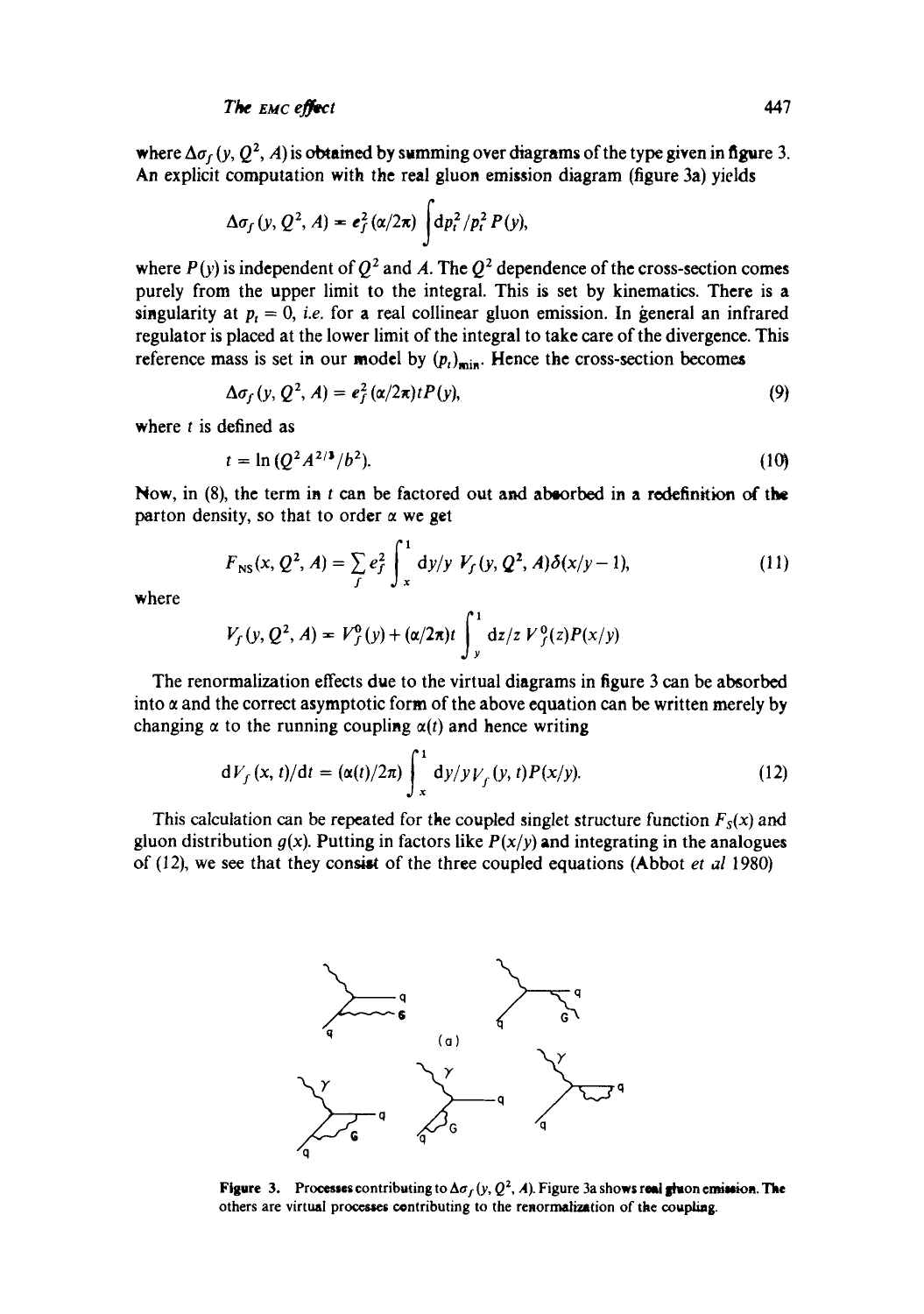where  $\Delta\sigma_f$  (y, Q<sup>2</sup>, A) is obtained by summing over diagrams of the type given in figure 3. An explicit computation with the real gluon emission diagram (figure 3a) yields

$$
\Delta \sigma_f(y, Q^2, A) = \mathbf{e}_f^2(\alpha/2\pi) \int d\mathbf{p}_t^2 / p_t^2 P(y),
$$

where  $P(y)$  is independent of  $Q^2$  and A. The  $Q^2$  dependence of the cross-section comes purely from the upper limit to the integral. This is set by kinematics. There is a singularity at  $p_t = 0$ , *i.e.* for a real collinear gluon emission. In general an infrared regulator is placed at the lower limit of the integral to take care of the divergence. This reference mass is set in our model by  $(p_t)_{\text{min}}$ . Hence the cross-section becomes

$$
\Delta \sigma_f(y, Q^2, A) = e_f^2(\alpha/2\pi)t P(y), \qquad (9)
$$

where  $t$  is defined as

$$
t = \ln \left( Q^2 A^{2/3} / b^2 \right). \tag{10}
$$

Now, in  $(8)$ , the term in t can be factored out and absorbed in a redefinition of the parton density, so that to order  $\alpha$  we get

$$
F_{\rm NS}(x, Q^2, A) = \sum_{f} e_f^2 \int_x^1 dy/y \ V_f(y, Q^2, A) \delta(x/y - 1), \tag{11}
$$

where

$$
V_f(y, Q^2, A) = V_f^0(y) + (\alpha/2\pi)t \int_y^1 dz/z V_f^0(z)P(x/y)
$$

The renormalization effects due to the virtual diagrams in figure 3 can be absorbed into  $\alpha$  and the correct asymptotic form of the above equation can be written merely by changing  $\alpha$  to the running coupling  $\alpha(t)$  and hence writing

$$
dV_f(x, t)/dt = (\alpha(t)/2\pi) \int_x^1 dy/y V_f(y, t) P(x/y).
$$
 (12)

This calculation can be repeated for the coupled singlet structure function  $F_s(x)$  and gluon distribution  $g(x)$ . Putting in factors like  $P(x/y)$  and integrating in the analogues of (12), we see that they consist of the three coupled equations (Abbot *et al* 1980)



**Figure 3.** Processes contributing to  $\Delta \sigma_f(y, Q^2, A)$ . Figure 3a shows real gluon emission. The others are virtual processes contributing to the renormalization of the coupling.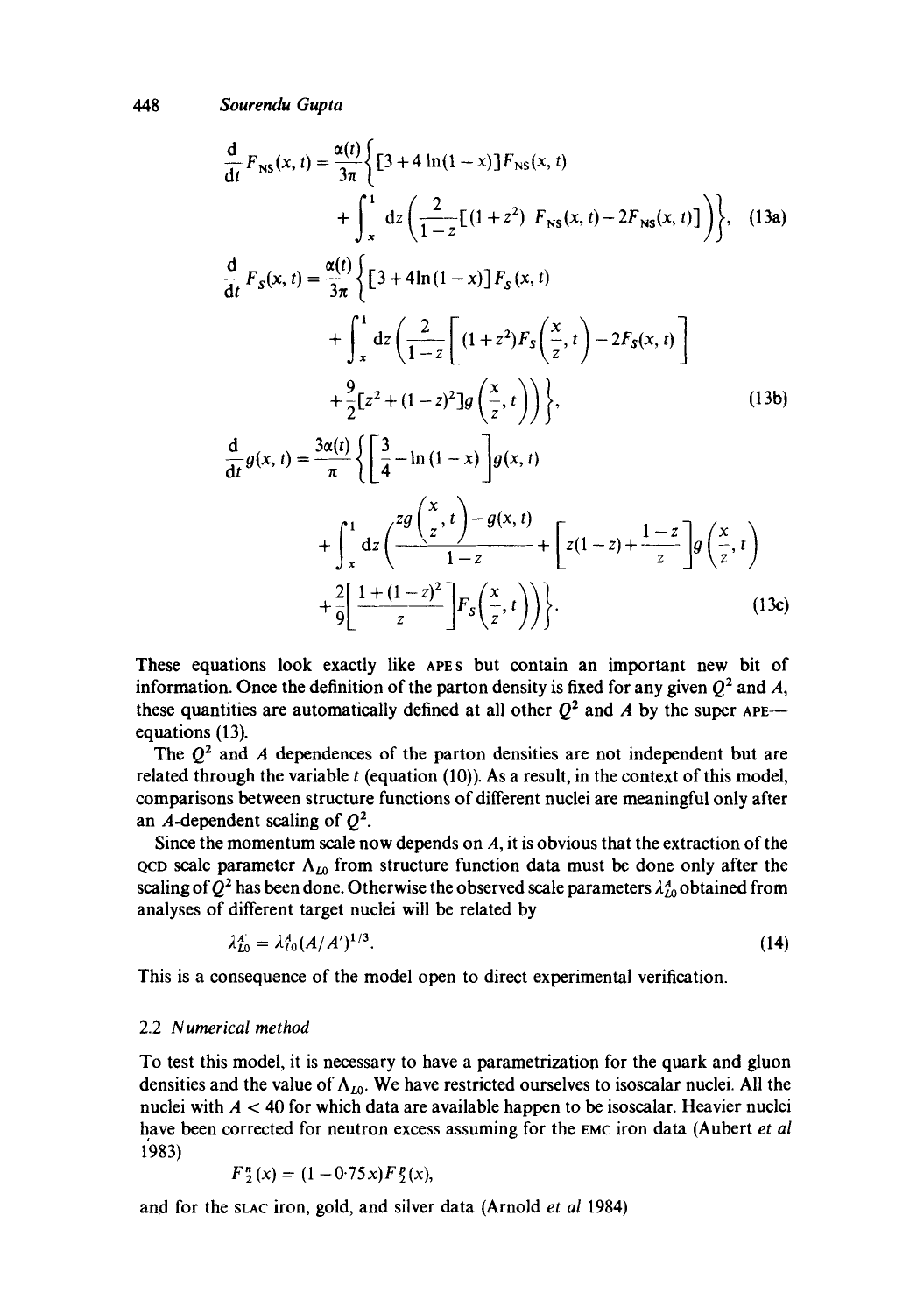*448 Sourendu Gupta* 

$$
\frac{d}{dt} F_{NS}(x, t) = \frac{\alpha(t)}{3\pi} \Biggl\{ \Biggl[ 3 + 4 \ln(1 - x) \Biggr] F_{NS}(x, t) + \int_{x}^{1} dz \Biggl( \frac{2}{1 - z} \Biggl[ (1 + z^{2}) F_{NS}(x, t) - 2F_{NS}(x, t) \Biggr] \Biggr\}, \quad (13a)
$$
\n
$$
\frac{d}{dt} F_{S}(x, t) = \frac{\alpha(t)}{3\pi} \Biggl\{ \Biggl[ 3 + 4 \ln(1 - x) \Biggr] F_{S}(x, t) + \int_{x}^{1} dz \Biggl( \frac{2}{1 - z} \Biggl[ (1 + z^{2}) F_{S} \Biggl( \frac{x}{z}, t \Biggr) - 2F_{S}(x, t) \Biggr] + \frac{9}{2} \Biggl[ z^{2} + (1 - z)^{2} \Biggr] g \Biggl( \frac{x}{z}, t \Biggr) \Biggr) \Biggr\}, \quad (13b)
$$
\n
$$
\frac{d}{dt} g(x, t) = \frac{3\alpha(t)}{\pi} \Biggl\{ \Biggl[ \frac{3}{4} - \ln(1 - x) \Biggr] g(x, t) + \int_{x}^{1} dz \Biggl( \frac{z g \Biggl( \frac{x}{z}, t \Biggr) - g(x, t)}{1 - z} + \Biggl[ z(1 - z) + \frac{1 - z}{z} \Biggr] g \Biggl( \frac{x}{z}, t \Biggr) + \frac{2}{9} \Biggl[ \frac{1 + (1 - z)^{2}}{z} \Biggr] F_{S} \Biggl( \frac{x}{z}, t \Biggr) \Biggr) \Biggr\}.
$$
\n(13c)

These equations look exactly like APES but contain an important new bit of information. Once the definition of the parton density is fixed for any given  $Q^2$  and A, these quantities are automatically defined at all other  $Q^2$  and A by the super APE-equations (13).

The  $Q<sup>2</sup>$  and A dependences of the parton densities are not independent but are related through the variable  $t$  (equation (10)). As a result, in the context of this model, comparisons between structure functions of different nuclei are meaningful only after an A-dependent scaling of  $Q^2$ .

Since the momentum scale now depends on  $A$ , it is obvious that the extraction of the QCD scale parameter  $\Lambda_{10}$  from structure function data must be done only after the scaling of  $Q^2$  has been done. Otherwise the observed scale parameters  $\lambda_{10}^4$  obtained from analyses of different target nuclei will be related by

$$
\lambda_{L0}^A = \lambda_{L0}^A (A/A')^{1/3}.
$$

This is a consequence of the model open to direct experimental verification.

#### 2.2 *Numerical method*

To test this model, it is necessary to have a parametrization for the quark and gluon densities and the value of  $\Lambda_{10}$ . We have restricted ourselves to isoscalar nuclei. All the nuclei with  $A < 40$  for which data are available happen to be isoscalar. Heavier nuclei have been corrected for neutron excess assuming for the EMC iron data (Aubert *et al*  1983)

$$
F_2^n(x) = (1 - 0.75x) F_2^n(x),
$$

and for the SLAC iron, gold, and silver data (Arnold *et al* 1984)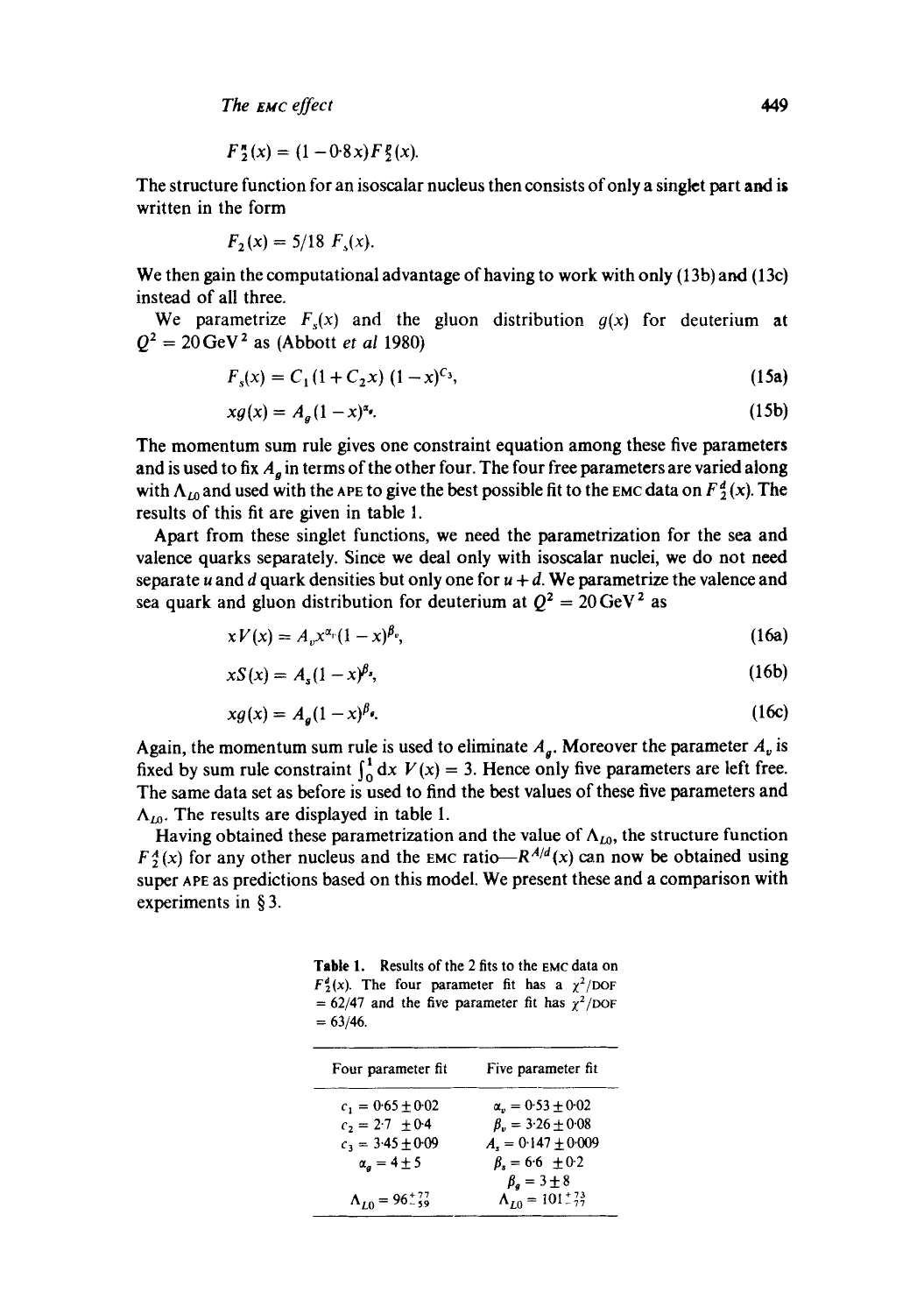*The tiuc effect 449* 

$$
F_2''(x) = (1 - 0.8x) F_2(x).
$$

The structure function for an isoscalar nucleus then consists of only a singlet part and is written in the form

$$
F_2(x) = 5/18 \ F_s(x).
$$

We then gain the computational advantage of having to work with only (13b) and (13c) instead of all three.

We parametrize  $F<sub>s</sub>(x)$  and the gluon distribution  $g(x)$  for deuterium at  $Q^2 = 20 \,\text{GeV}^2$  as (Abbott *et al* 1980)

$$
F_s(x) = C_1 (1 + C_2 x) (1 - x)^{C_3},
$$
\n(15a)

$$
xg(x) = A_g(1-x)^{\alpha_g}.\tag{15b}
$$

The momentum sum rule gives one constraint equation among these five parameters and is used to fix  $A_a$  in terms of the other four. The four free parameters are varied along with  $\Lambda_{L0}$  and used with the APE to give the best possible fit to the EMC data on  $F_2^d(x)$ . The results of this fit are given in table 1.

Apart from these singlet functions, we need the parametrization for the sea and valence quarks separately. Since we deal only with isoscalar nuclei, we do not need separate u and d quark densities but only one for  $u + d$ . We parametrize the valence and sea quark and gluon distribution for deuterium at  $Q^2 = 20 \text{ GeV}^2$  as

$$
xV(x) = A_v x^{\alpha_v} (1-x)^{\beta_v}, \qquad (16a)
$$

$$
xS(x) = A_s(1-x)^{\beta_s},\tag{16b}
$$

$$
xg(x) = A_a(1-x)^{\beta_a}.\tag{16c}
$$

Again, the momentum sum rule is used to eliminate  $A<sub>g</sub>$ . Moreover the parameter  $A<sub>v</sub>$  is fixed by sum rule constraint  $\int_0^1 dx V(x) = 3$ . Hence only five parameters are left free. The same data set as before is used to find the best values of these five parameters and  $\Lambda_{I0}$ . The results are displayed in table 1.

Having obtained these parametrization and the value of  $\Lambda_{L0}$ , the structure function  $F_2^A(x)$  for any other nucleus and the EMC ratio- $R^{A/d}(x)$  can now be obtained using super APE as predictions based on this model. We present these and a comparison with experiments in § 3.

**Table** 1. Results of the 2 fits to the EMC data on  $F_2^d(x)$ . The four parameter fit has a  $\chi^2$ /DOF = 62/47 and the five parameter fit has  $\chi^2$ /DOF  $= 63/46.$ 

| Four parameter fit              | Five parameter fit               |
|---------------------------------|----------------------------------|
| $c_1 = 0.65 \pm 0.02$           | $\alpha_{n} = 0.53 + 0.02$       |
| $c_2 = 2.7 \pm 0.4$             | $\beta_v = 3.26 \pm 0.08$        |
| $c_3 = 3.45 \pm 0.09$           | $A_{r} = 0.147 \pm 0.009$        |
| $\alpha_a = 4 \pm 5$            | $\beta_s = 6.6 \pm 0.2$          |
|                                 | $\beta_a = 3 \pm 8$              |
| $\Lambda_{10} = 96^{+77}_{-59}$ | $\Lambda_{I0} = 101^{+73}_{-77}$ |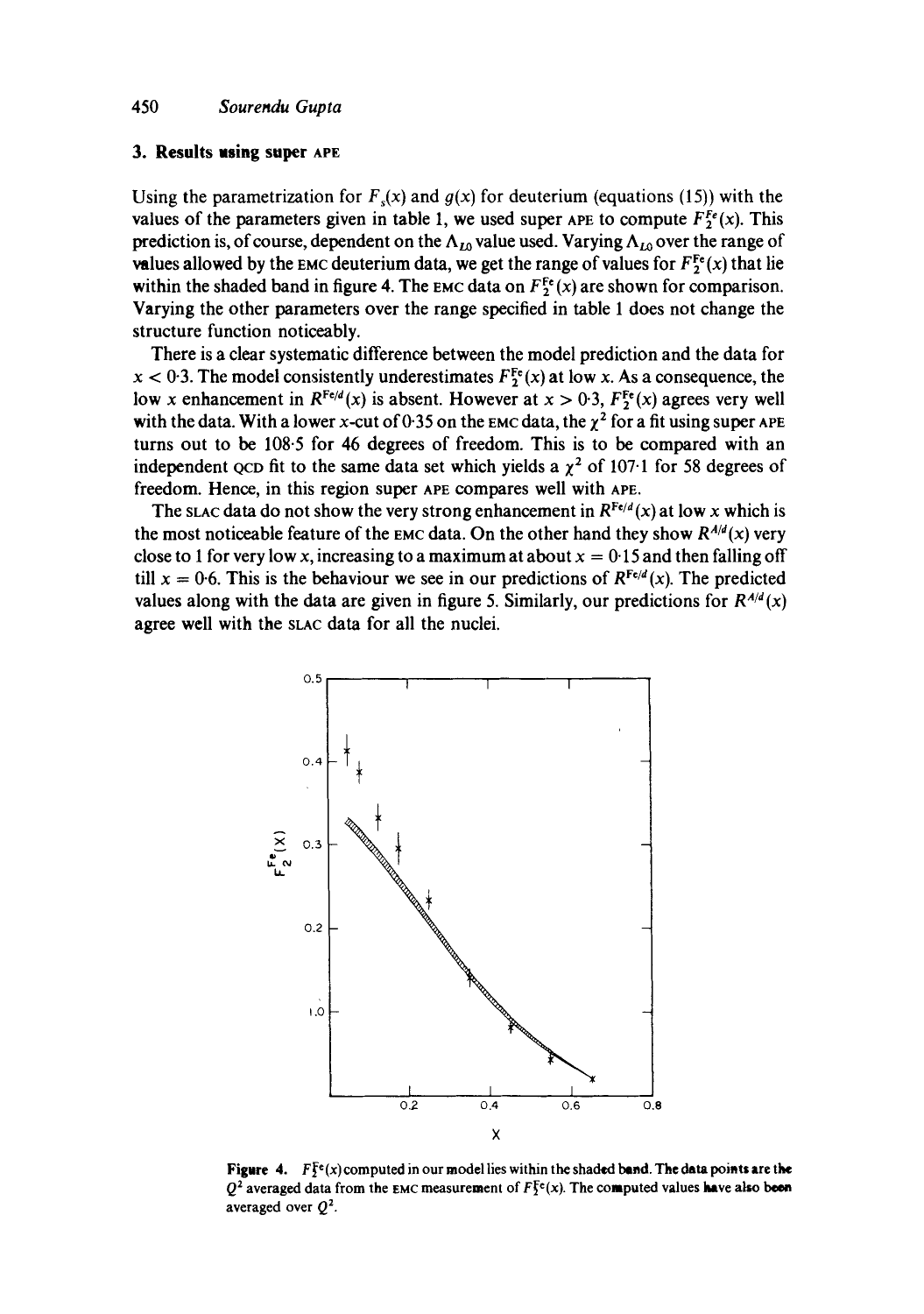#### **3. Results using super APE**

Using the parametrization for  $F(x)$  and  $g(x)$  for deuterium (equations (15)) with the values of the parameters given in table 1, we used super APE to compute  $F_2^{Fe}(x)$ . This prediction is, of course, dependent on the  $\Lambda_{L0}$  value used. Varying  $\Lambda_{L0}$  over the range of values allowed by the EMC deuterium data, we get the range of values for  $F_2^{\text{Fe}}(x)$  that lie within the shaded band in figure 4. The EMC data on  $F_2^{\text{Fe}}(x)$  are shown for comparison. Varying the other parameters over the range specified in table 1 does not change the structure function noticeably.

There is a clear systematic difference between the model prediction and the data for  $x < 0.3$ . The model consistently underestimates  $F_2^{\text{Fe}}(x)$  at low x. As a consequence, the low x enhancement in  $R^{\text{Fe}/d}(x)$  is absent. However at  $x > 0.3$ ,  $F_2^{\text{Fe}}(x)$  agrees very well with the data. With a lower x-cut of 0.35 on the EMC data, the  $\chi^2$  for a fit using super APE turns out to be 108.5 for 46 degrees of freedom. This is to be compared with an independent QCD fit to the same data set which yields a  $\chi^2$  of 107.1 for 58 degrees of freedom. Hence, in this region super APE compares well with APE.

The stac data do not show the very strong enhancement in  $R^{Fe/d}(x)$  at low x which is the most noticeable feature of the EMC data. On the other hand they show  $R^{A/d}(x)$  very close to 1 for very low x, increasing to a maximum at about  $x = 0.15$  and then falling off till  $x = 0.6$ . This is the behaviour we see in our predictions of  $R^{Fe/d}(x)$ . The predicted values along with the data are given in figure 5. Similarly, our predictions for  $R^{A/d}(x)$ agree well with the SLAC data for all the nuclei.



**Figure 4.**  $F\bar{F}^e(x)$  computed in our model lies within the shaded band. The data points are the  $Q^2$  averaged data from the EMC measurement of  $F_2^{\text{fc}}(x)$ . The computed values have also been averaged over  $Q^2$ .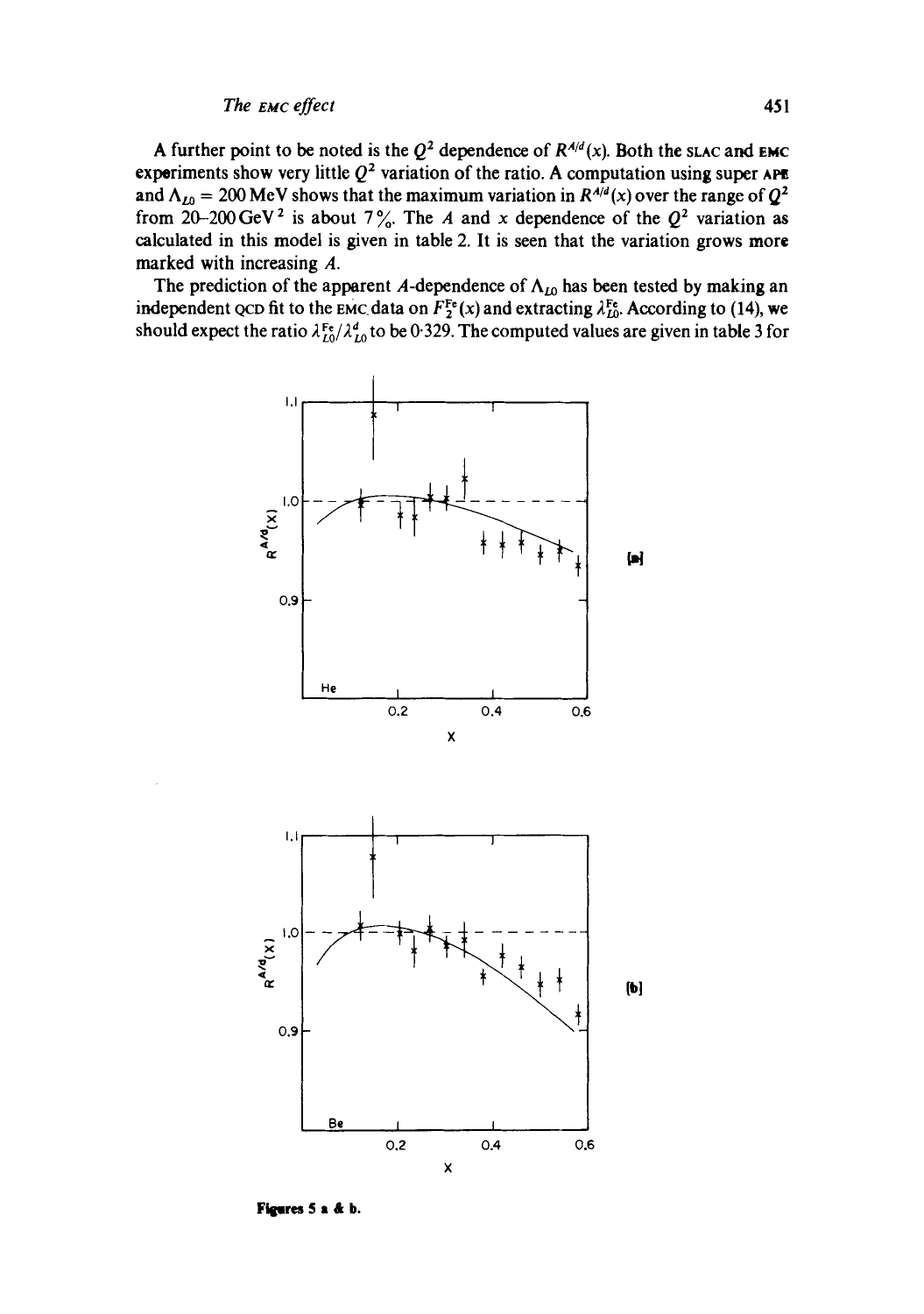A further point to be noted is the  $Q^2$  dependence of  $R^{A/d}(x)$ . Both the slac and EMC experiments show very little  $Q^2$  variation of the ratio. A computation using super APE and  $\Lambda_{L0} = 200$  MeV shows that the maximum variation in  $R^{A/d}(x)$  over the range of  $Q^2$ from 20-200 GeV<sup>2</sup> is about 7%. The A and x dependence of the  $Q^2$  variation as calculated in this model is given in table 2. It is seen that the variation grows more marked with increasing A.

The prediction of the apparent A-dependence of  $\Lambda_{L0}$  has been tested by making an independent QCD fit to the EMC data on  $F_2^{\text{Fe}}(x)$  and extracting  $\lambda_{L0}^{\text{Fe}}$ . According to (14), we should expect the ratio  $\lambda_{L0}^{Fe}/\lambda_{L0}^d$  to be 0.329. The computed values are given in table 3 for



**Figures** 5 a & b.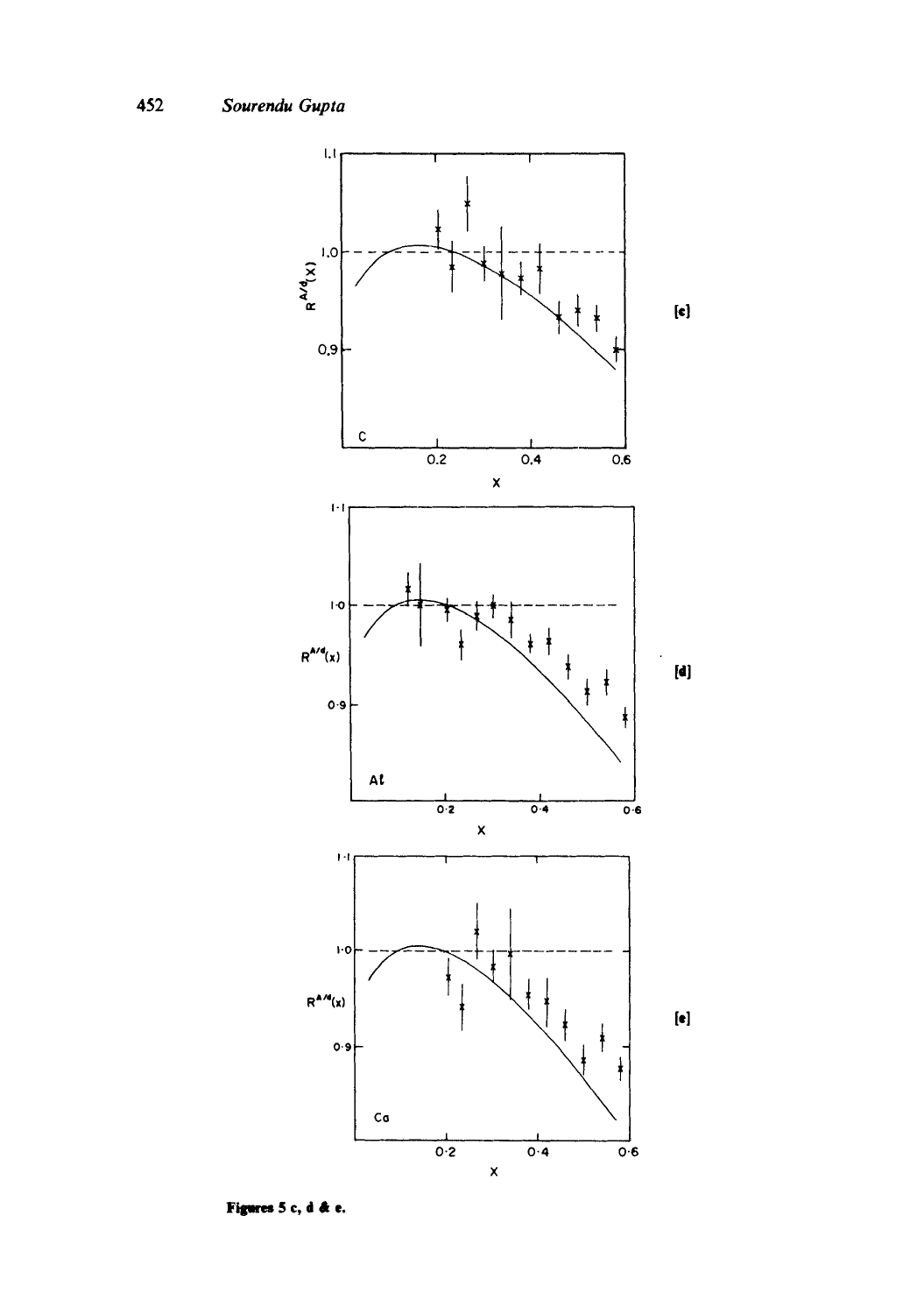

Figures 5 c, d & e.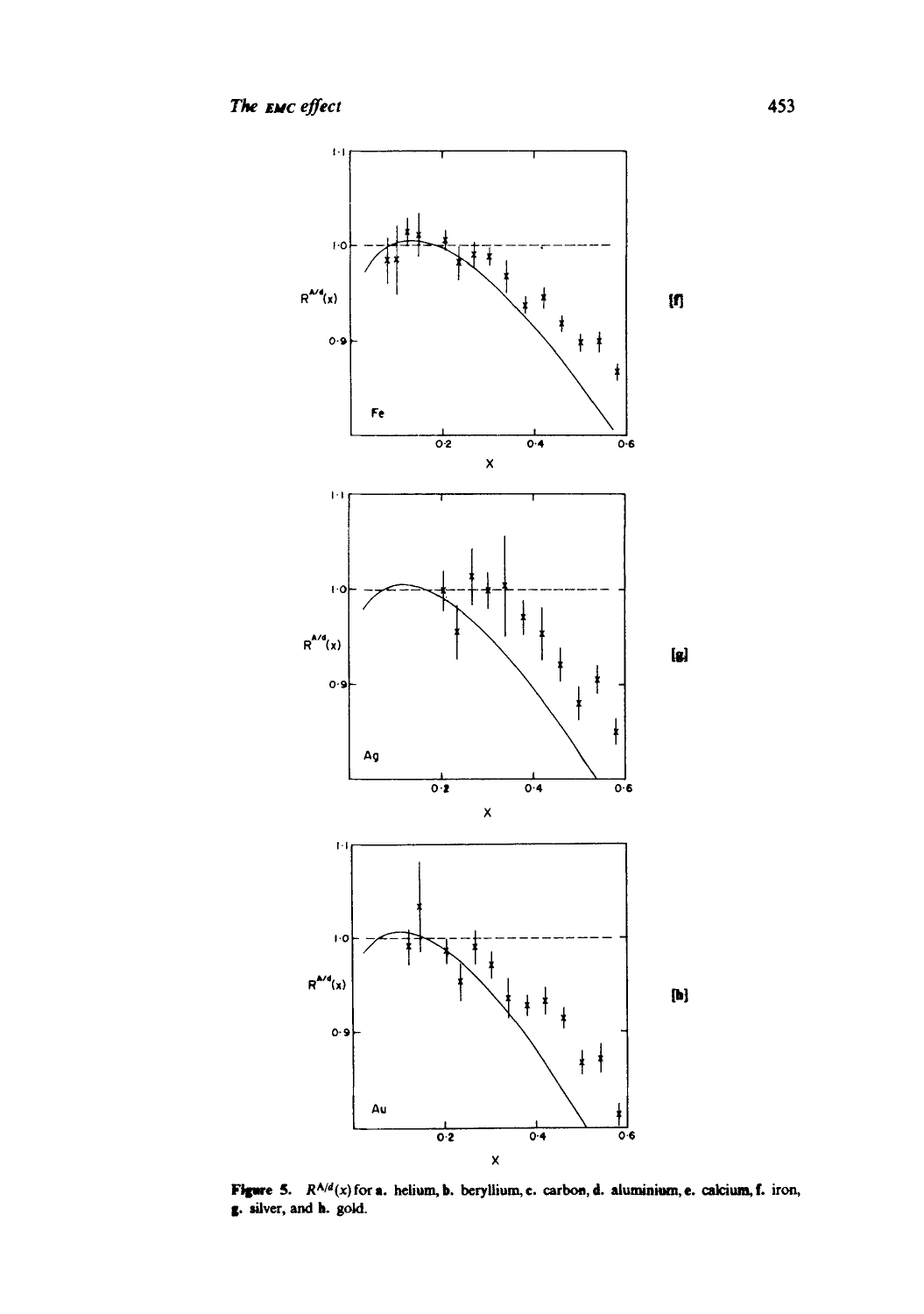

**Figure 5.**  $R^{A/d}(x)$  for a. helium, b. beryllium, c. carbon, d. aluminium, e. calcium, f. iron, g. silver, and h. gold.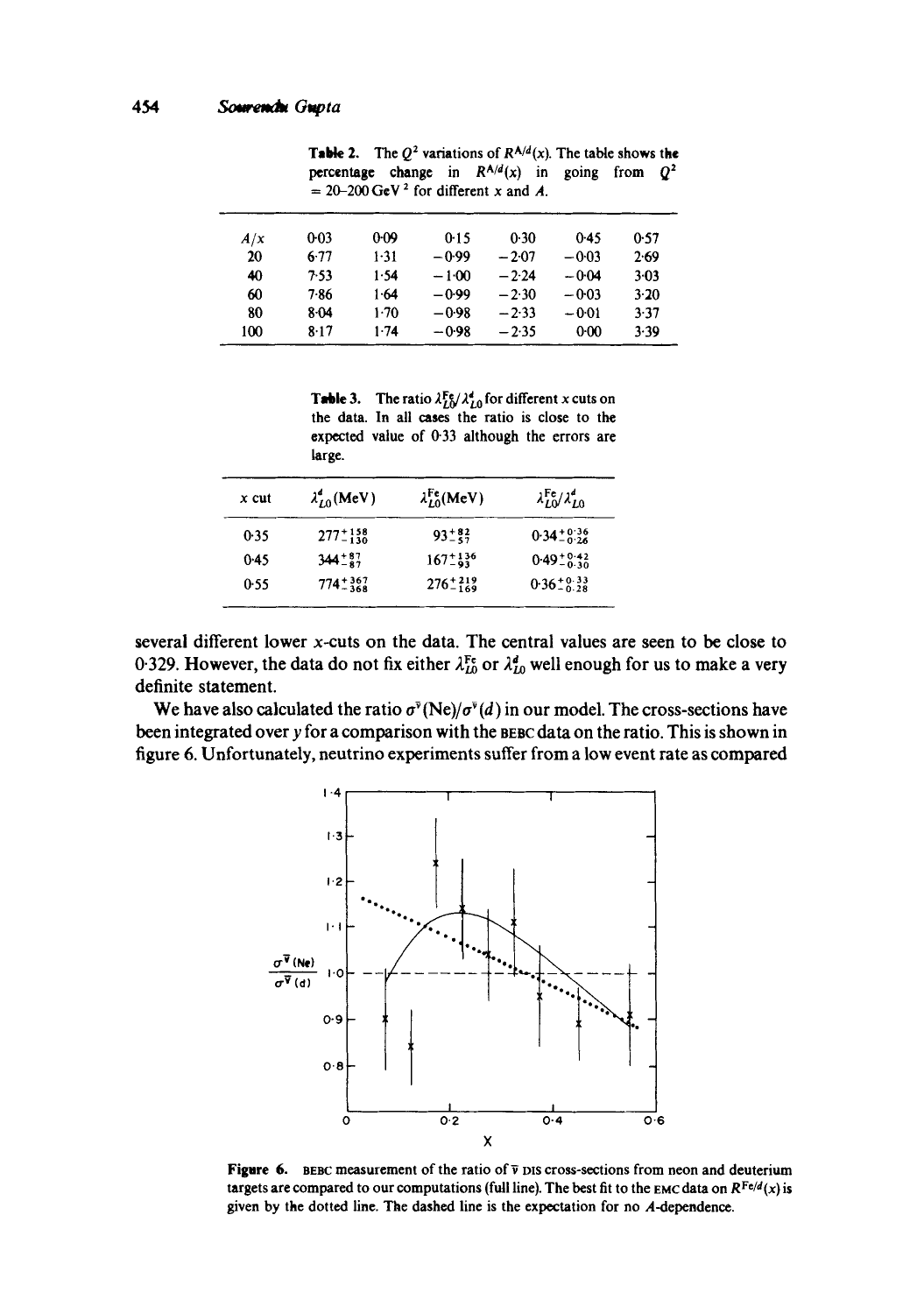| A/x | $0-03$ | $0 - 09$ | 0.15    | 0.30    | 0.45    | 0.57   |
|-----|--------|----------|---------|---------|---------|--------|
| 20  | $6-77$ | $1 - 31$ | -0.99   | $-2.07$ | $-0.03$ | 2.69   |
| 40  | 7.53   | 1.54     | $-1.00$ | $-2.24$ | $-0.04$ | $3-03$ |
| 60  | 7.86   | $1-64$   | $-0.99$ | $-2.30$ | $-0.03$ | $3-20$ |
| 80  | 8-04   | $1-70$   | $-0.98$ | $-2.33$ | $-0.01$ | 3.37   |
| 100 | 8.17   | 1.74     | $-0.98$ | $-2.35$ | 0:00    | 3.39   |

**Table 2.** The  $Q^2$  variations of  $R^{A/d}(x)$ . The table shows the percentage change in  $R^{A/d}(x)$  in going from  $Q^2$  $= 20-200 \text{ GeV}^2$  for different x and A.

**Table 3.** The ratio  $\lambda_{L0}^{\text{Fe}}/\lambda_{L0}^d$  for different x cuts on the data. In all eases the ratio is close to the expected value of 0.33 although the errors are large.

| $x$ cut | $\lambda_{L0}^d$ (MeV) | $\lambda_{L0}^{\text{Fe}}(\text{MeV})$ | $\lambda_{LO}^{\rm Fe}/\lambda_{LO}^d$ |
|---------|------------------------|----------------------------------------|----------------------------------------|
| 0.35    | $277 - 158$            | $93^{+82}_{-87}$                       | $0.34 \pm 0.36$                        |
| 0.45    | $344^{+87}_{-87}$      | $167^{+136}_{-93}$                     | $0.49^{+0.42}_{-0.30}$                 |
| 0.55    | $774^{+367}_{-368}$    | $276 - 219$                            | $0.36^{+0.33}_{-0.28}$                 |
|         |                        |                                        |                                        |

several different lower x-cuts on the data. The central values are seen to be close to 0.329. However, the data do not fix either  $\lambda_{L0}^{\text{Fe}}$  or  $\lambda_{L0}^{d}$  well enough for us to make a very definite statement.

We have also calculated the ratio  $\sigma^{\bar{\nu}}(Ne)/\sigma^{\bar{\nu}}(d)$  in our model. The cross-sections have been integrated over y for a comparison with the BEBC data on the ratio. This is shown in figure 6. Unfortunately, neutrino experiments suffer from a low event rate as compared



**Figure 6.** BEBC measurement of the ratio of  $\bar{v}$  pis cross-sections from neon and deuterium targets are compared to our computations (full line). The best fit to the EMC data on  $R^{Fe/d}(x)$  is given by the dotted line. The dashed line is the expectation for no A-dependence.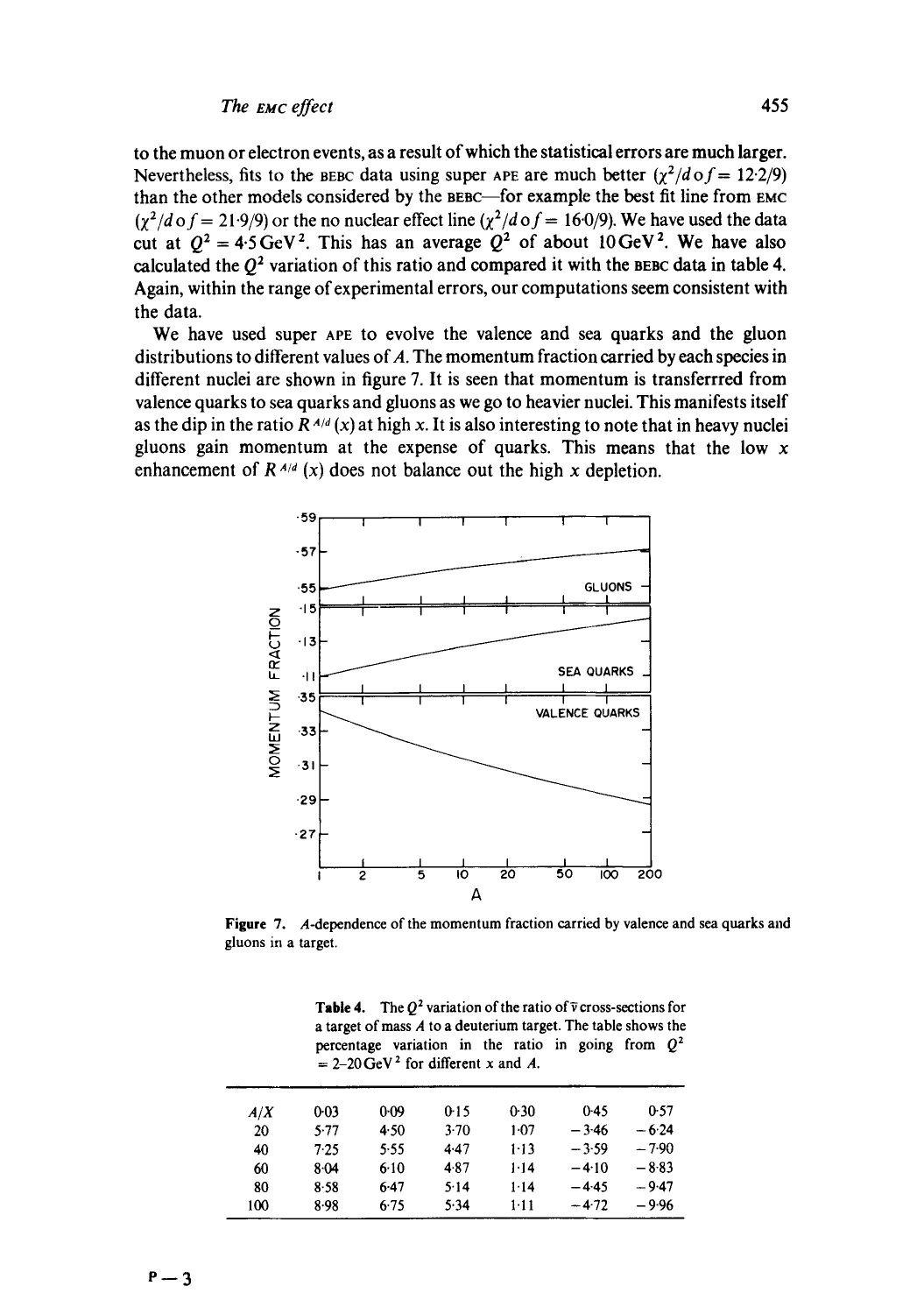**to the muon or electron events, as a result of which the statistical errors are much larger.**  Nevertheless, fits to the BEBC data using super APE are much better  $(\gamma^2/d \theta f = 12.2/9)$ **than the other models considered by the BEBC--for example the best fit line from EMC**   $(\chi^2/d \text{ of } = 21.9/9)$  or the no nuclear effect line  $(\chi^2/d \text{ of } = 16.0/9)$ . We have used the data cut at  $Q^2 = 4.5 \text{ GeV}^2$ . This has an average  $Q^2$  of about 10 GeV<sup>2</sup>. We have also **calculated the Q2 variation of this ratio and compared it with the BEBC data in table 4. Again, within the range of experimental errors, our computations seem consistent with the data.** 

**We have used super APE to evolve the valence and sea quarks and the gluon distributions to different values of A. The momentum fraction carried by each species in different nuclei are shown in figure 7. It is seen that momentum is transferrred from valence quarks to sea quarks and gluons as we go to heavier nuclei. This manifests itself**  as the dip in the ratio  $R^{A/d}(x)$  at high x. It is also interesting to note that in heavy nuclei **gluons gain momentum at the expense of quarks. This means that the low x**  enhancement of  $R^{A/d}$  (x) does not balance out the high x depletion.



**Figure 7. A-dependence of the momentum fraction carried by valence and sea quarks and gluons** in a **target.** 

| <b>Table 4.</b> The $Q^2$ variation of the ratio of $\overline{v}$ cross-sections for<br>a target of mass $A$ to a deuterium target. The table shows the<br>percentage variation in the ratio in going from $Q^2$<br>$= 2-20 \,\mathrm{GeV}^2$ for different x and A. |          |          |        |        |         |         |  |
|-----------------------------------------------------------------------------------------------------------------------------------------------------------------------------------------------------------------------------------------------------------------------|----------|----------|--------|--------|---------|---------|--|
| A/X                                                                                                                                                                                                                                                                   | $0 - 03$ | $0 - 09$ | 0.15   | 0.30   | $0-45$  | 0.57    |  |
| 20                                                                                                                                                                                                                                                                    | 5.77     | 4.50     | $3-70$ | $1-07$ | $-3.46$ | $-6.24$ |  |
| 40                                                                                                                                                                                                                                                                    | 7.25     | 5.55     | 4.47   | $1-13$ | $-3.59$ | $-7.90$ |  |
| 60                                                                                                                                                                                                                                                                    | 8.04     | 6.10     | 4.87   | 1.14   | $-4.10$ | $-8.83$ |  |
| 80                                                                                                                                                                                                                                                                    | 8.58     | 6.47     | 5.14   | 1.14   | $-4.45$ | $-9.47$ |  |
| 100                                                                                                                                                                                                                                                                   | 8.98     | 6.75     | 5.34   | $1-11$ | $-4.72$ | $-9.96$ |  |